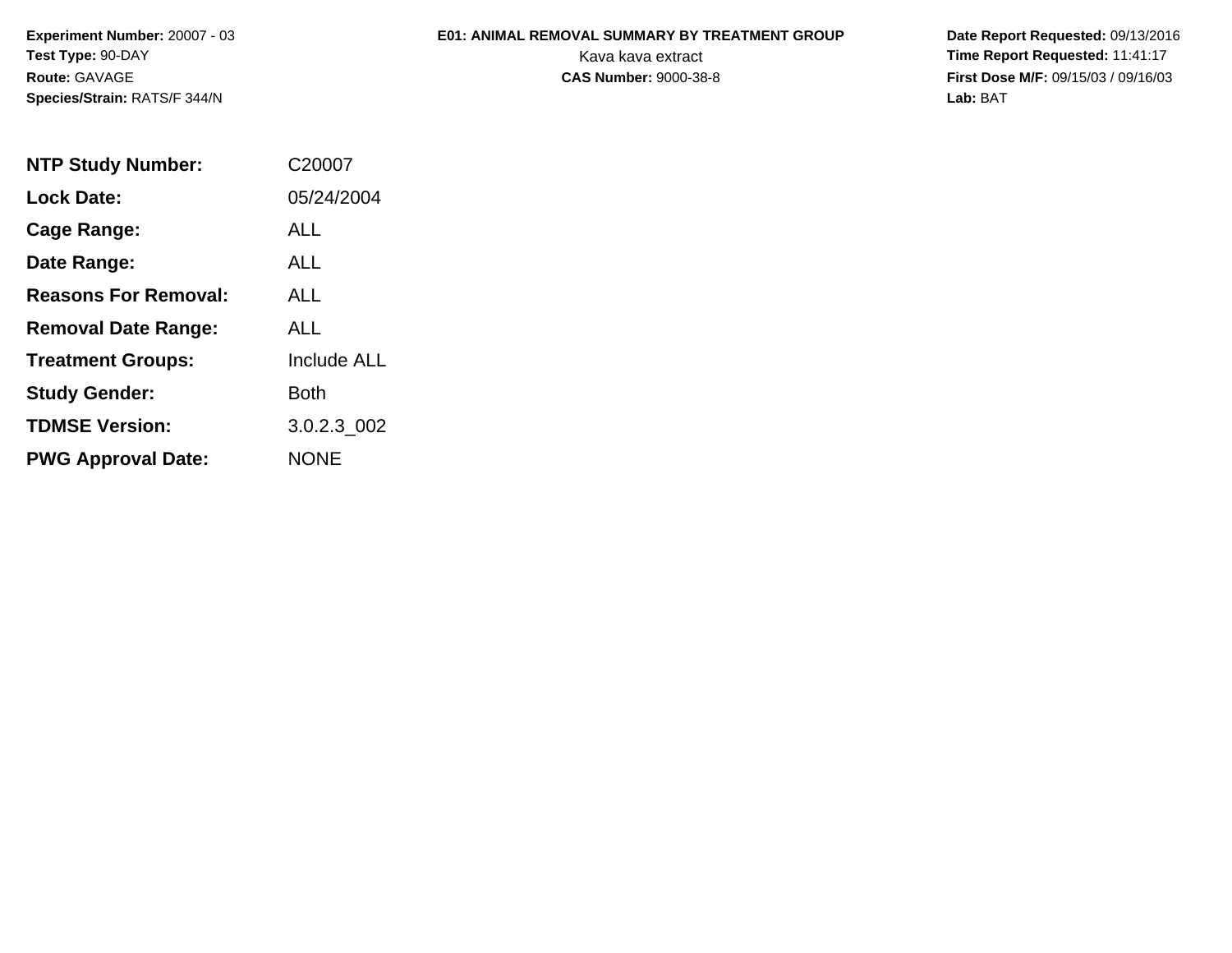**Experiment Number:** 20007 - 03**Test Type:** 90-DAY**Route:** GAVAGE**Species/Strain:** RATS/F 344/N

## **E01: ANIMAL REMOVAL SUMMARY BY TREATMENT GROUP**

 **Date Report Requested:** 09/13/2016 Kava kava extract **Time Report Requested:** 11:41:17<br>**CAS Number:** 9000-38-8 **Time Report Requested:** 11:41:17 **First Dose M/F:** 09/15/03 / 09/16/03<br>Lab: BAT **Lab:** BAT

| <b>NTP Study Number:</b>    | C <sub>2000</sub> 7 |
|-----------------------------|---------------------|
| <b>Lock Date:</b>           | 05/24/2004          |
| Cage Range:                 | ALL                 |
| Date Range:                 | ALL                 |
| <b>Reasons For Removal:</b> | AI I                |
| <b>Removal Date Range:</b>  | ALL                 |
| <b>Treatment Groups:</b>    | <b>Include ALL</b>  |
| <b>Study Gender:</b>        | Both                |
| <b>TDMSE Version:</b>       | 3.0.2.3 002         |
| <b>PWG Approval Date:</b>   | <b>NONE</b>         |